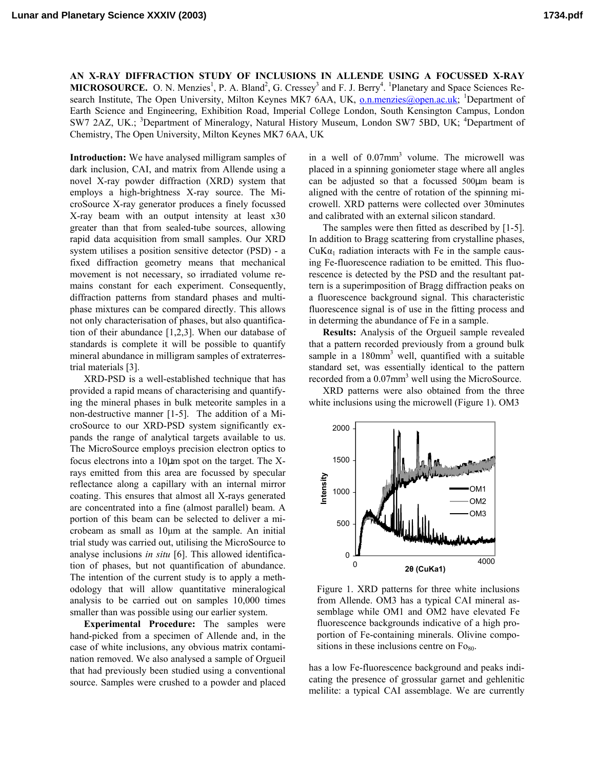**AN X-RAY DIFFRACTION STUDY OF INCLUSIONS IN ALLENDE USING A FOCUSSED X-RAY MICROSOURCE.** O. N. Menzies<sup>1</sup>, P. A. Bland<sup>2</sup>, G. Cressey<sup>3</sup> and F. J. Berry<sup>4</sup>. <sup>1</sup>Planetary and Space Sciences Research Institute, The Open University, Milton Keynes MK7 6AA, UK, **o.n.menzies@open.ac.uk**; <sup>1</sup>Department of Earth Science and Engineering, Exhibition Road, Imperial College London, South Kensington Campus, London SW7 2AZ, UK.; <sup>3</sup>Department of Mineralogy, Natural History Museum, London SW7 5BD, UK; <sup>4</sup>Department of Chemistry, The Open University, Milton Keynes MK7 6AA, UK

**Introduction:** We have analysed milligram samples of dark inclusion, CAI, and matrix from Allende using a novel X-ray powder diffraction (XRD) system that employs a high-brightness X-ray source. The MicroSource X-ray generator produces a finely focussed X-ray beam with an output intensity at least x30 greater than that from sealed-tube sources, allowing rapid data acquisition from small samples. Our XRD system utilises a position sensitive detector (PSD) - a fixed diffraction geometry means that mechanical movement is not necessary, so irradiated volume remains constant for each experiment. Consequently, diffraction patterns from standard phases and multiphase mixtures can be compared directly. This allows not only characterisation of phases, but also quantification of their abundance [1,2,3]. When our database of standards is complete it will be possible to quantify mineral abundance in milligram samples of extraterrestrial materials [3].

XRD-PSD is a well-established technique that has provided a rapid means of characterising and quantifying the mineral phases in bulk meteorite samples in a non-destructive manner [1-5]. The addition of a MicroSource to our XRD-PSD system significantly expands the range of analytical targets available to us. The MicroSource employs precision electron optics to focus electrons into a 10µm spot on the target. The Xrays emitted from this area are focussed by specular reflectance along a capillary with an internal mirror coating. This ensures that almost all X-rays generated are concentrated into a fine (almost parallel) beam. A portion of this beam can be selected to deliver a microbeam as small as 10µm at the sample. An initial trial study was carried out, utilising the MicroSource to analyse inclusions *in situ* [6]. This allowed identification of phases, but not quantification of abundance. The intention of the current study is to apply a methodology that will allow quantitative mineralogical analysis to be carried out on samples 10,000 times smaller than was possible using our earlier system.

**Experimental Procedure:** The samples were hand-picked from a specimen of Allende and, in the case of white inclusions, any obvious matrix contamination removed. We also analysed a sample of Orgueil that had previously been studied using a conventional source. Samples were crushed to a powder and placed

in a well of 0.07mm<sup>3</sup> volume. The microwell was placed in a spinning goniometer stage where all angles can be adjusted so that a focussed 500µm beam is aligned with the centre of rotation of the spinning microwell. XRD patterns were collected over 30minutes and calibrated with an external silicon standard.

The samples were then fitted as described by [1-5]. In addition to Bragg scattering from crystalline phases,  $CuKa<sub>1</sub>$  radiation interacts with Fe in the sample causing Fe-fluorescence radiation to be emitted. This fluorescence is detected by the PSD and the resultant pattern is a superimposition of Bragg diffraction peaks on a fluorescence background signal. This characteristic fluorescence signal is of use in the fitting process and in determing the abundance of Fe in a sample.

**Results:** Analysis of the Orgueil sample revealed that a pattern recorded previously from a ground bulk sample in a 180mm<sup>3</sup> well, quantified with a suitable standard set, was essentially identical to the pattern recorded from a 0.07mm<sup>3</sup> well using the MicroSource.

XRD patterns were also obtained from the three white inclusions using the microwell (Figure 1). OM3



Figure 1. XRD patterns for three white inclusions from Allende. OM3 has a typical CAI mineral assemblage while OM1 and OM2 have elevated Fe fluorescence backgrounds indicative of a high proportion of Fe-containing minerals. Olivine compositions in these inclusions centre on  $F_{\text{O}_80}$ .

has a low Fe-fluorescence background and peaks indicating the presence of grossular garnet and gehlenitic melilite: a typical CAI assemblage. We are currently